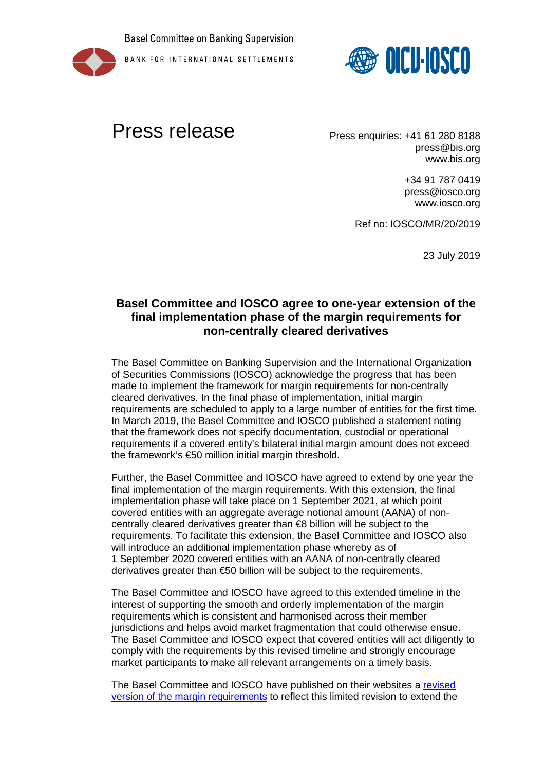





## Press release Press enquiries: +41 61 280 8188

press@bis.org www.bis.org

> +34 91 787 0419 press@iosco.org www.iosco.org

Ref no: IOSCO/MR/20/2019

23 July 2019

## **Basel Committee and IOSCO agree to one-year extension of the final implementation phase of the margin requirements for non-centrally cleared derivatives**

The Basel Committee on Banking Supervision and the International Organization of Securities Commissions (IOSCO) acknowledge the progress that has been made to implement the framework for margin requirements for non-centrally cleared derivatives. In the final phase of implementation, initial margin requirements are scheduled to apply to a large number of entities for the first time. In March 2019, the Basel Committee and IOSCO published a statement noting that the framework does not specify documentation, custodial or operational requirements if a covered entity's bilateral initial margin amount does not exceed the framework's €50 million initial margin threshold.

Further, the Basel Committee and IOSCO have agreed to extend by one year the final implementation of the margin requirements. With this extension, the final implementation phase will take place on 1 September 2021, at which point covered entities with an aggregate average notional amount (AANA) of noncentrally cleared derivatives greater than €8 billion will be subject to the requirements. To facilitate this extension, the Basel Committee and IOSCO also will introduce an additional implementation phase whereby as of 1 September 2020 covered entities with an AANA of non-centrally cleared derivatives greater than €50 billion will be subject to the requirements.

The Basel Committee and IOSCO have agreed to this extended timeline in the interest of supporting the smooth and orderly implementation of the margin requirements which is consistent and harmonised across their member jurisdictions and helps avoid market fragmentation that could otherwise ensue. The Basel Committee and IOSCO expect that covered entities will act diligently to comply with the requirements by this revised timeline and strongly encourage market participants to make all relevant arrangements on a timely basis.

The Basel Committee and IOSCO have published on their websites a revised [version of the margin requirements](https://www.iosco.org/library/pubdocs/pdf/IOSCOPD635.pdf) to reflect this limited revision to extend the